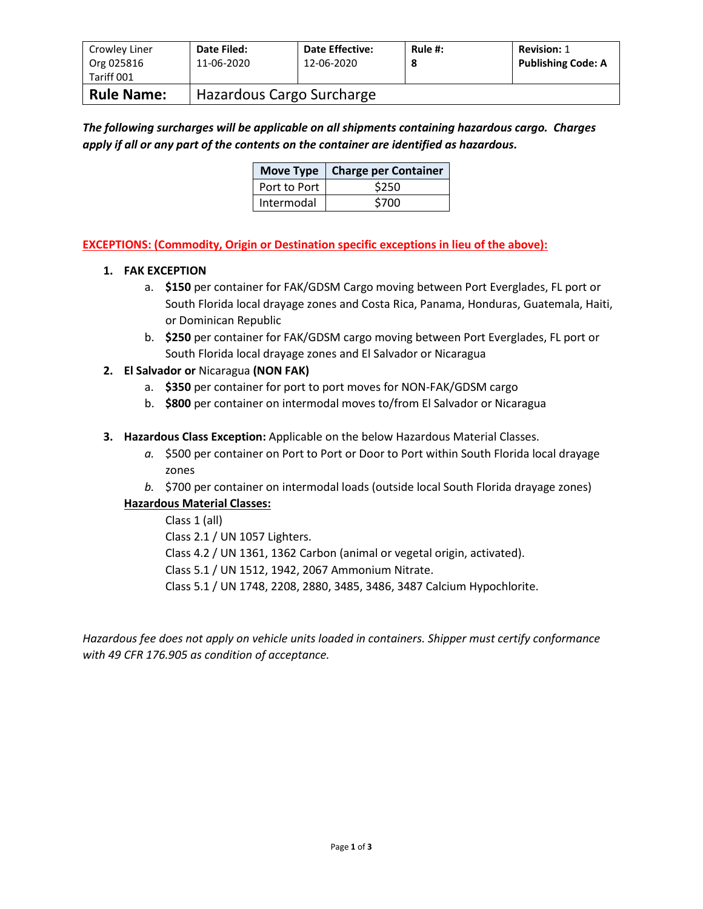| Crowley Liner<br>Org 025816<br>Tariff 001 | Date Filed:<br>11-06-2020 | <b>Date Effective:</b><br>12-06-2020 | Rule #:<br>8 | <b>Revision: 1</b><br><b>Publishing Code: A</b> |
|-------------------------------------------|---------------------------|--------------------------------------|--------------|-------------------------------------------------|
| <b>Rule Name:</b>                         | Hazardous Cargo Surcharge |                                      |              |                                                 |

# *The following surcharges will be applicable on all shipments containing hazardous cargo. Charges apply if all or any part of the contents on the container are identified as hazardous.*

|              | Move Type   Charge per Container |  |  |
|--------------|----------------------------------|--|--|
| Port to Port | \$250                            |  |  |
| Intermodal   | \$700                            |  |  |

## **EXCEPTIONS: (Commodity, Origin or Destination specific exceptions in lieu of the above):**

## **1. FAK EXCEPTION**

- a. **\$150** per container for FAK/GDSM Cargo moving between Port Everglades, FL port or South Florida local drayage zones and Costa Rica, Panama, Honduras, Guatemala, Haiti, or Dominican Republic
- b. **\$250** per container for FAK/GDSM cargo moving between Port Everglades, FL port or South Florida local drayage zones and El Salvador or Nicaragua

## **2. El Salvador or** Nicaragua **(NON FAK)**

- a. **\$350** per container for port to port moves for NON-FAK/GDSM cargo
- b. **\$800** per container on intermodal moves to/from El Salvador or Nicaragua

## **3. Hazardous Class Exception:** Applicable on the below Hazardous Material Classes.

- *a.* \$500 per container on Port to Port or Door to Port within South Florida local drayage zones
- *b.* \$700 per container on intermodal loads (outside local South Florida drayage zones)

# **Hazardous Material Classes:**

Class 1 (all) Class 2.1 / UN 1057 Lighters. Class 4.2 / UN 1361, 1362 Carbon (animal or vegetal origin, activated). Class 5.1 / UN 1512, 1942, 2067 Ammonium Nitrate. Class 5.1 / UN 1748, 2208, 2880, 3485, 3486, 3487 Calcium Hypochlorite.

*Hazardous fee does not apply on vehicle units loaded in containers. Shipper must certify conformance with 49 CFR 176.905 as condition of acceptance.*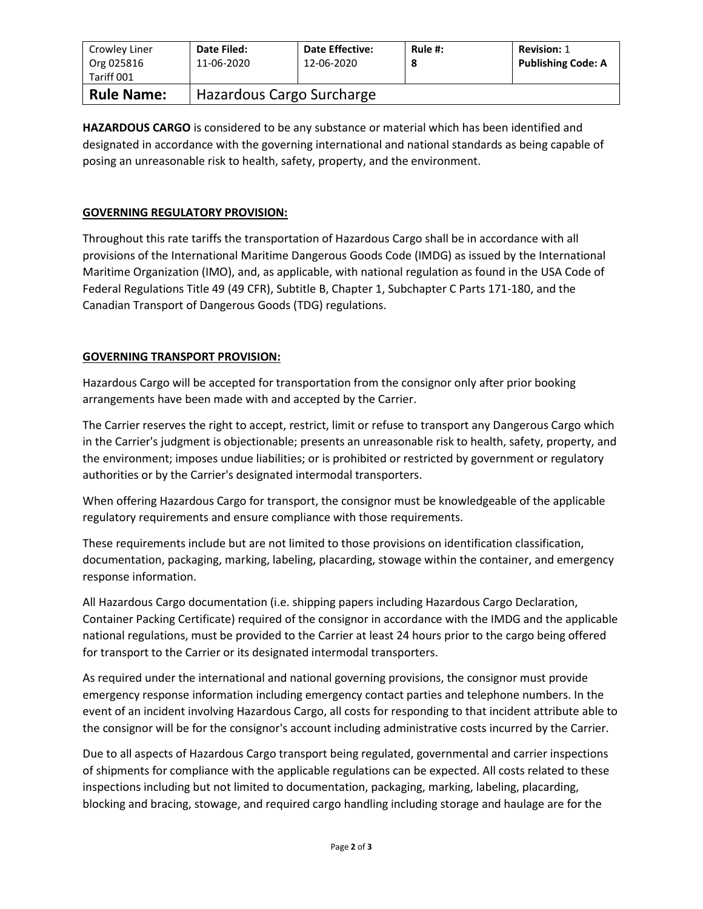| Crowley Liner<br>Org 025816<br>Tariff 001 | Date Filed:<br>11-06-2020 | <b>Date Effective:</b><br>12-06-2020 | Rule #:<br>8 | <b>Revision: 1</b><br><b>Publishing Code: A</b> |
|-------------------------------------------|---------------------------|--------------------------------------|--------------|-------------------------------------------------|
| <b>Rule Name:</b>                         | Hazardous Cargo Surcharge |                                      |              |                                                 |

**HAZARDOUS CARGO** is considered to be any substance or material which has been identified and designated in accordance with the governing international and national standards as being capable of posing an unreasonable risk to health, safety, property, and the environment.

#### **GOVERNING REGULATORY PROVISION:**

Throughout this rate tariffs the transportation of Hazardous Cargo shall be in accordance with all provisions of the International Maritime Dangerous Goods Code (IMDG) as issued by the International Maritime Organization (IMO), and, as applicable, with national regulation as found in the USA Code of Federal Regulations Title 49 (49 CFR), Subtitle B, Chapter 1, Subchapter C Parts 171-180, and the Canadian Transport of Dangerous Goods (TDG) regulations.

#### **GOVERNING TRANSPORT PROVISION:**

Hazardous Cargo will be accepted for transportation from the consignor only after prior booking arrangements have been made with and accepted by the Carrier.

The Carrier reserves the right to accept, restrict, limit or refuse to transport any Dangerous Cargo which in the Carrier's judgment is objectionable; presents an unreasonable risk to health, safety, property, and the environment; imposes undue liabilities; or is prohibited or restricted by government or regulatory authorities or by the Carrier's designated intermodal transporters.

When offering Hazardous Cargo for transport, the consignor must be knowledgeable of the applicable regulatory requirements and ensure compliance with those requirements.

These requirements include but are not limited to those provisions on identification classification, documentation, packaging, marking, labeling, placarding, stowage within the container, and emergency response information.

All Hazardous Cargo documentation (i.e. shipping papers including Hazardous Cargo Declaration, Container Packing Certificate) required of the consignor in accordance with the IMDG and the applicable national regulations, must be provided to the Carrier at least 24 hours prior to the cargo being offered for transport to the Carrier or its designated intermodal transporters.

As required under the international and national governing provisions, the consignor must provide emergency response information including emergency contact parties and telephone numbers. In the event of an incident involving Hazardous Cargo, all costs for responding to that incident attribute able to the consignor will be for the consignor's account including administrative costs incurred by the Carrier.

Due to all aspects of Hazardous Cargo transport being regulated, governmental and carrier inspections of shipments for compliance with the applicable regulations can be expected. All costs related to these inspections including but not limited to documentation, packaging, marking, labeling, placarding, blocking and bracing, stowage, and required cargo handling including storage and haulage are for the